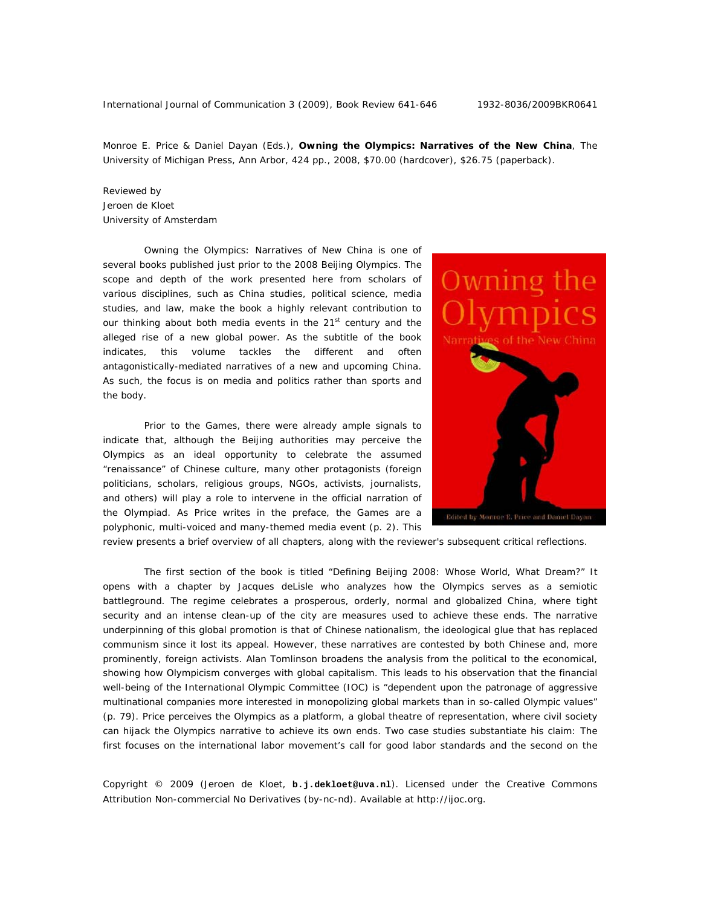Monroe E. Price & Daniel Dayan (Eds.), **Owning the Olympics: Narratives of the New China**, The University of Michigan Press, Ann Arbor, 424 pp., 2008, \$70.00 (hardcover), \$26.75 (paperback).

Reviewed by Jeroen de Kloet University of Amsterdam

*Owning the Olympics: Narratives of New China* is one of several books published just prior to the 2008 Beijing Olympics. The scope and depth of the work presented here from scholars of various disciplines, such as China studies, political science, media studies, and law, make the book a highly relevant contribution to our thinking about both media events in the 21<sup>st</sup> century and the alleged rise of a new global power. As the subtitle of the book indicates, this volume tackles the different and often antagonistically-mediated narratives of a new and upcoming China. As such, the focus is on media and politics rather than sports and the body.

Prior to the Games, there were already ample signals to indicate that, although the Beijing authorities may perceive the Olympics as an ideal opportunity to celebrate the assumed "renaissance" of Chinese culture, many other protagonists (foreign politicians, scholars, religious groups, NGOs, activists, journalists, and others) will play a role to intervene in the official narration of the Olympiad. As Price writes in the preface, the Games are a polyphonic, multi-voiced and many-themed media event (p. 2). This



review presents a brief overview of all chapters, along with the reviewer's subsequent critical reflections.

The first section of the book is titled "Defining Beijing 2008: Whose World, What Dream?" It opens with a chapter by Jacques deLisle who analyzes how the Olympics serves as a semiotic battleground. The regime celebrates a prosperous, orderly, normal and globalized China, where tight security and an intense clean-up of the city are measures used to achieve these ends. The narrative underpinning of this global promotion is that of Chinese nationalism, the ideological glue that has replaced communism since it lost its appeal. However, these narratives are contested by both Chinese and, more prominently, foreign activists. Alan Tomlinson broadens the analysis from the political to the economical, showing how Olympicism converges with global capitalism. This leads to his observation that the financial well-being of the International Olympic Committee (IOC) is "dependent upon the patronage of aggressive multinational companies more interested in monopolizing global markets than in so-called Olympic values" (p. 79). Price perceives the Olympics as a platform, a global theatre of representation, where civil society can hijack the Olympics narrative to achieve its own ends. Two case studies substantiate his claim: The first focuses on the international labor movement's call for good labor standards and the second on the

Copyright © 2009 (Jeroen de Kloet, **b.j.dekloet@uva.nl**). Licensed under the Creative Commons Attribution Non-commercial No Derivatives (by-nc-nd). Available at http://ijoc.org.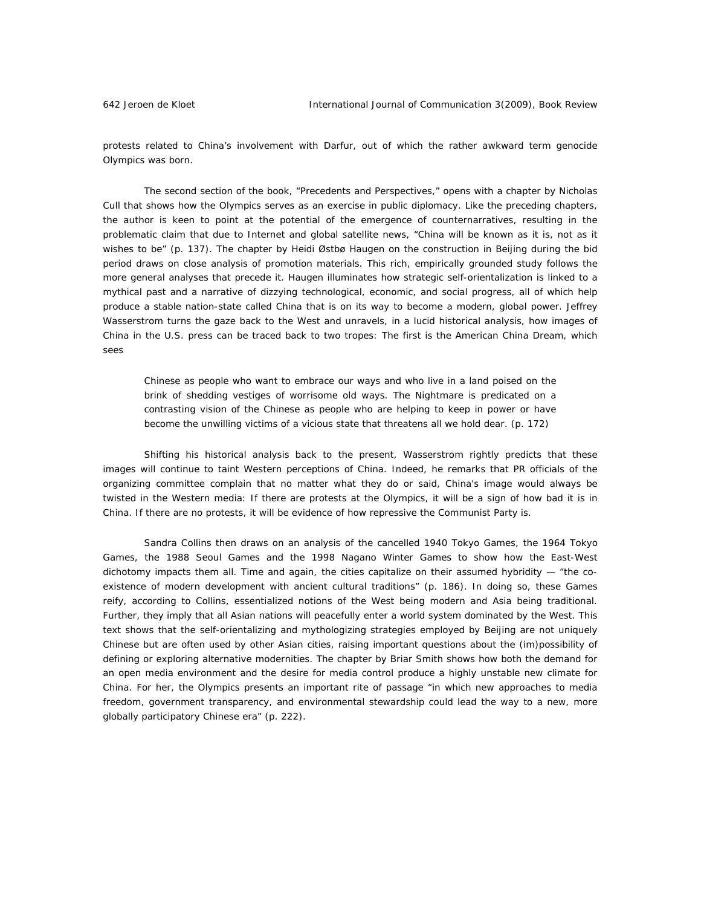protests related to China's involvement with Darfur, out of which the rather awkward term *genocide Olympics* was born.

The second section of the book, "Precedents and Perspectives," opens with a chapter by Nicholas Cull that shows how the Olympics serves as an exercise in public diplomacy. Like the preceding chapters, the author is keen to point at the potential of the emergence of counternarratives, resulting in the problematic claim that due to Internet and global satellite news, "China will be known as it is, not as it wishes to be" (p. 137). The chapter by Heidi Østbø Haugen on the construction in Beijing during the bid period draws on close analysis of promotion materials. This rich, empirically grounded study follows the more general analyses that precede it. Haugen illuminates how strategic self-orientalization is linked to a mythical past and a narrative of dizzying technological, economic, and social progress, all of which help produce a stable nation-state called China that is on its way to become a modern, global power. Jeffrey Wasserstrom turns the gaze back to the West and unravels, in a lucid historical analysis, how images of China in the U.S. press can be traced back to two tropes: The first is the American China Dream, which sees

Chinese as people who want to embrace our ways and who live in a land poised on the brink of shedding vestiges of worrisome old ways. The Nightmare is predicated on a contrasting vision of the Chinese as people who are helping to keep in power or have become the unwilling victims of a vicious state that threatens all we hold dear. (p. 172)

Shifting his historical analysis back to the present, Wasserstrom rightly predicts that these images will continue to taint Western perceptions of China. Indeed, he remarks that PR officials of the organizing committee complain that no matter what they do or said, China's image would always be twisted in the Western media: If there are protests at the Olympics, it will be a sign of how bad it is in China. If there are no protests, it will be evidence of how repressive the Communist Party is.

Sandra Collins then draws on an analysis of the cancelled 1940 Tokyo Games, the 1964 Tokyo Games, the 1988 Seoul Games and the 1998 Nagano Winter Games to show how the East-West dichotomy impacts them all. Time and again, the cities capitalize on their assumed hybridity  $-$  "the coexistence of modern development with ancient cultural traditions" (p. 186). In doing so, these Games reify, according to Collins, essentialized notions of the West being modern and Asia being traditional. Further, they imply that all Asian nations will peacefully enter a world system dominated by the West. This text shows that the self-orientalizing and mythologizing strategies employed by Beijing are not uniquely Chinese but are often used by other Asian cities, raising important questions about the (im)possibility of defining or exploring alternative modernities. The chapter by Briar Smith shows how both the demand for an open media environment and the desire for media control produce a highly unstable new climate for China. For her, the Olympics presents an important rite of passage "in which new approaches to media freedom, government transparency, and environmental stewardship could lead the way to a new, more globally participatory Chinese era" (p. 222).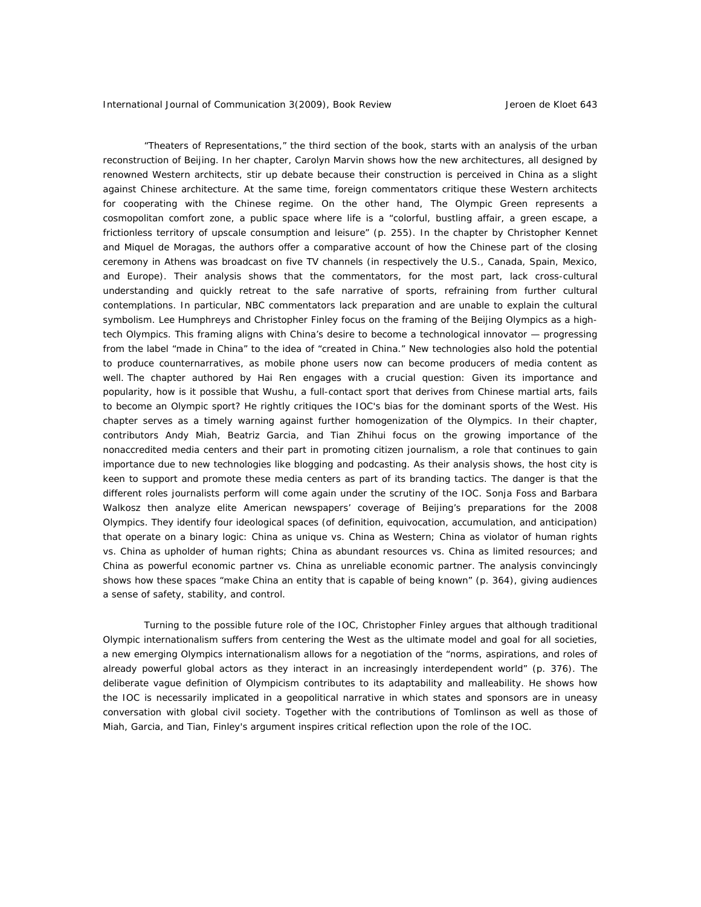"Theaters of Representations," the third section of the book, starts with an analysis of the urban reconstruction of Beijing. In her chapter, Carolyn Marvin shows how the new architectures, all designed by renowned Western architects, stir up debate because their construction is perceived in China as a slight against Chinese architecture. At the same time, foreign commentators critique these Western architects for cooperating with the Chinese regime. On the other hand, The Olympic Green represents a cosmopolitan comfort zone, a public space where life is a "colorful, bustling affair, a green escape, a frictionless territory of upscale consumption and leisure" (p. 255). In the chapter by Christopher Kennet and Miquel de Moragas, the authors offer a comparative account of how the Chinese part of the closing ceremony in Athens was broadcast on five TV channels (in respectively the U.S., Canada, Spain, Mexico, and Europe). Their analysis shows that the commentators, for the most part, lack cross-cultural understanding and quickly retreat to the safe narrative of sports, refraining from further cultural contemplations. In particular, NBC commentators lack preparation and are unable to explain the cultural symbolism. Lee Humphreys and Christopher Finley focus on the framing of the Beijing Olympics as a hightech Olympics. This framing aligns with China's desire to become a technological innovator — progressing from the label "made in China" to the idea of "created in China." New technologies also hold the potential to produce counternarratives, as mobile phone users now can become producers of media content as well. The chapter authored by Hai Ren engages with a crucial question: Given its importance and popularity, how is it possible that Wushu, a full-contact sport that derives from Chinese martial arts, fails to become an Olympic sport? He rightly critiques the IOC's bias for the dominant sports of the West. His chapter serves as a timely warning against further homogenization of the Olympics. In their chapter, contributors Andy Miah, Beatriz Garcia, and Tian Zhihui focus on the growing importance of the nonaccredited media centers and their part in promoting citizen journalism, a role that continues to gain importance due to new technologies like blogging and podcasting. As their analysis shows, the host city is keen to support and promote these media centers as part of its branding tactics. The danger is that the different roles journalists perform will come again under the scrutiny of the IOC. Sonja Foss and Barbara Walkosz then analyze elite American newspapers' coverage of Beijing's preparations for the 2008 Olympics. They identify four ideological spaces (of definition, equivocation, accumulation, and anticipation) that operate on a binary logic: China as unique vs. China as Western; China as violator of human rights vs. China as upholder of human rights; China as abundant resources vs. China as limited resources; and China as powerful economic partner vs. China as unreliable economic partner. The analysis convincingly shows how these spaces "make China an entity that is capable of being known" (p. 364), giving audiences a sense of safety, stability, and control.

Turning to the possible future role of the IOC, Christopher Finley argues that although traditional Olympic internationalism suffers from centering the West as the ultimate model and goal for all societies, a new emerging Olympics internationalism allows for a negotiation of the "norms, aspirations, and roles of already powerful global actors as they interact in an increasingly interdependent world" (p. 376). The deliberate vague definition of Olympicism contributes to its adaptability and malleability. He shows how the IOC is necessarily implicated in a geopolitical narrative in which states and sponsors are in uneasy conversation with global civil society. Together with the contributions of Tomlinson as well as those of Miah, Garcia, and Tian, Finley's argument inspires critical reflection upon the role of the IOC.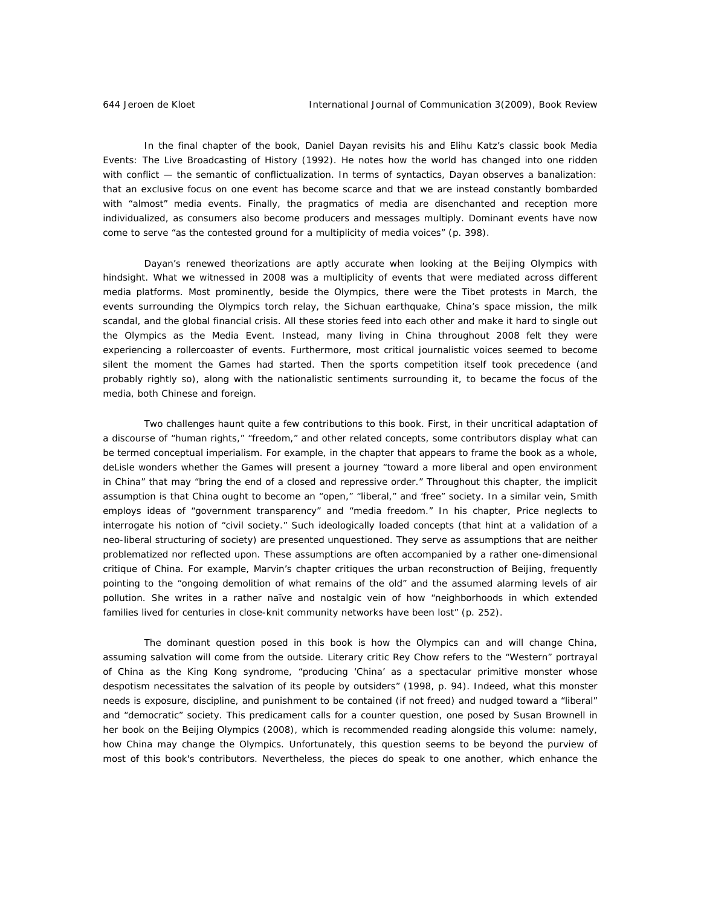In the final chapter of the book, Daniel Dayan revisits his and Elihu Katz's classic book *Media Events: The Live Broadcasting of History* (1992). He notes how the world has changed into one ridden with conflict — the semantic of conflictualization. In terms of syntactics, Dayan observes a banalization: that an exclusive focus on one event has become scarce and that we are instead constantly bombarded with "almost" media events. Finally, the pragmatics of media are disenchanted and reception more individualized, as consumers also become producers and messages multiply. Dominant events have now come to serve "as the contested ground for a multiplicity of media voices" (p. 398).

Dayan's renewed theorizations are aptly accurate when looking at the Beijing Olympics with hindsight. What we witnessed in 2008 was a multiplicity of events that were mediated across different media platforms. Most prominently, beside the Olympics, there were the Tibet protests in March, the events surrounding the Olympics torch relay, the Sichuan earthquake, China's space mission, the milk scandal, and the global financial crisis. All these stories feed into each other and make it hard to single out the Olympics as *the* Media Event. Instead, many living in China throughout 2008 felt they were experiencing a rollercoaster of events. Furthermore, most critical journalistic voices seemed to become silent the moment the Games had started. Then the sports competition itself took precedence (and probably rightly so), along with the nationalistic sentiments surrounding it, to became the focus of the media, both Chinese and foreign.

Two challenges haunt quite a few contributions to this book. First, in their uncritical adaptation of a discourse of "human rights," "freedom," and other related concepts, some contributors display what can be termed *conceptual imperialism*. For example, in the chapter that appears to frame the book as a whole, deLisle wonders whether the Games will present a journey "toward a more liberal and open environment in China" that may "bring the end of a closed and repressive order." Throughout this chapter, the implicit assumption is that China ought to become an "open," "liberal," and 'free" society. In a similar vein, Smith employs ideas of "government transparency" and "media freedom." In his chapter, Price neglects to interrogate his notion of "civil society." Such ideologically loaded concepts (that hint at a validation of a neo-liberal structuring of society) are presented unquestioned. They serve as assumptions that are neither problematized nor reflected upon. These assumptions are often accompanied by a rather one-dimensional critique of China. For example, Marvin's chapter critiques the urban reconstruction of Beijing, frequently pointing to the "ongoing demolition of what remains of the old" and the assumed alarming levels of air pollution. She writes in a rather naïve and nostalgic vein of how "neighborhoods in which extended families lived for centuries in close-knit community networks have been lost" (p. 252).

The dominant question posed in this book is how the Olympics can and will change China, assuming salvation will come from the outside. Literary critic Rey Chow refers to the "Western" portrayal of China as the King Kong syndrome, "producing 'China' as a spectacular primitive monster whose despotism necessitates the salvation of its people by outsiders" (1998, p. 94). Indeed, what this monster needs is exposure, discipline, and punishment to be contained (if not freed) and nudged toward a "liberal" and "democratic" society. This predicament calls for a counter question, one posed by Susan Brownell in her book on the Beijing Olympics (2008), which is recommended reading alongside this volume: namely, how China may change the Olympics. Unfortunately, this question seems to be beyond the purview of most of this book's contributors. Nevertheless, the pieces do speak to one another, which enhance the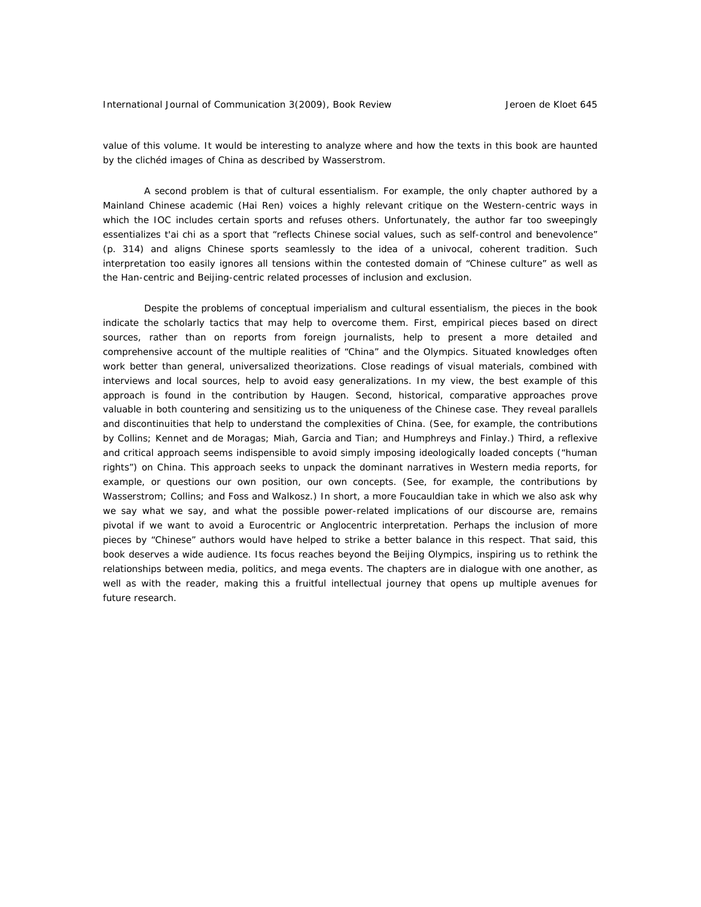value of this volume. It would be interesting to analyze where and how the texts in this book are haunted by the clichéd images of China as described by Wasserstrom.

A second problem is that of cultural essentialism. For example, the only chapter authored by a Mainland Chinese academic (Hai Ren) voices a highly relevant critique on the Western-centric ways in which the IOC includes certain sports and refuses others. Unfortunately, the author far too sweepingly essentializes t'ai chi as a sport that "reflects Chinese social values, such as self-control and benevolence" (p. 314) and aligns Chinese sports seamlessly to the idea of a univocal, coherent tradition. Such interpretation too easily ignores all tensions within the contested domain of "Chinese culture" as well as the Han-centric and Beijing-centric related processes of inclusion and exclusion.

Despite the problems of conceptual imperialism and cultural essentialism, the pieces in the book indicate the scholarly tactics that may help to overcome them. First, empirical pieces based on direct sources, rather than on reports from foreign journalists, help to present a more detailed and comprehensive account of the multiple realities of "China" and the Olympics. Situated knowledges often work better than general, universalized theorizations. Close readings of visual materials, combined with interviews and local sources, help to avoid easy generalizations. In my view, the best example of this approach is found in the contribution by Haugen. Second, historical, comparative approaches prove valuable in both countering and sensitizing us to the uniqueness of the Chinese case. They reveal parallels and discontinuities that help to understand the complexities of China. (See, for example, the contributions by Collins; Kennet and de Moragas; Miah, Garcia and Tian; and Humphreys and Finlay.) Third, a reflexive and critical approach seems indispensible to avoid simply imposing ideologically loaded concepts ("human rights") on China. This approach seeks to unpack the dominant narratives in Western media reports, for example, or questions our own position, our own concepts. (See, for example, the contributions by Wasserstrom; Collins; and Foss and Walkosz.) In short, a more Foucauldian take in which we also ask why we say what we say, and what the possible power-related implications of our discourse are, remains pivotal if we want to avoid a Eurocentric or Anglocentric interpretation. Perhaps the inclusion of more pieces by "Chinese" authors would have helped to strike a better balance in this respect. That said, this book deserves a wide audience. Its focus reaches beyond the Beijing Olympics, inspiring us to rethink the relationships between media, politics, and mega events. The chapters are in dialogue with one another, as well as with the reader, making this a fruitful intellectual journey that opens up multiple avenues for future research.